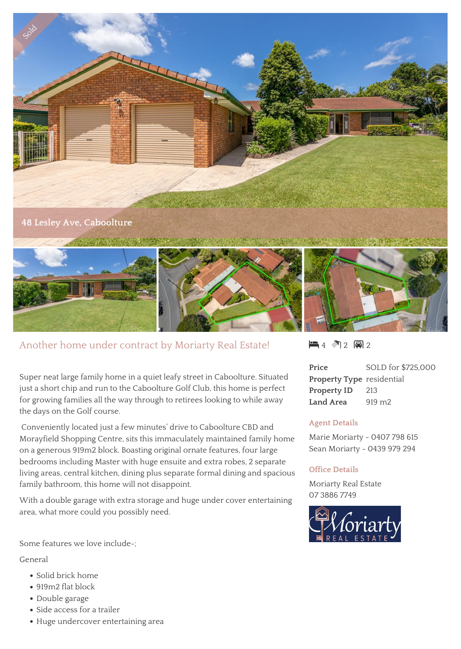

# Another home under contract by Moriarty Real Estate!

Super neat large family home in a quiet leafy street in Caboolture. Situated just a short chip and run to the Caboolture Golf Club, this home is perfect for growing families all the way through to retirees looking to while away the days on the Golf course.

 Conveniently located just a few minutes' drive to Caboolture CBD and Morayfield Shopping Centre, sits this immaculately maintained family home on a generous 919m2 block. Boasting original ornate features, four large bedrooms including Master with huge ensuite and extra robes, 2 separate living areas, central kitchen, dining plus separate formal dining and spacious family bathroom, this home will not disappoint.

With a double garage with extra storage and huge under cover entertaining area, what more could you possibly need.

Some features we love include-;

### General

- Solid brick home
- 919m2 flat block
- Double garage
- Side access for a trailer
- Huge undercover entertaining area

 $\blacksquare$  4 2 8 2

**Price** SOLD for \$725,000 **Property Type** residential **Property ID** 213 Land Area 919 m<sub>2</sub>

### **Agent Details**

Marie Moriarty - 0407 798 615 Sean Moriarty - 0439 979 294

#### **Office Details**

Moriarty Real Estate 07 3886 7749

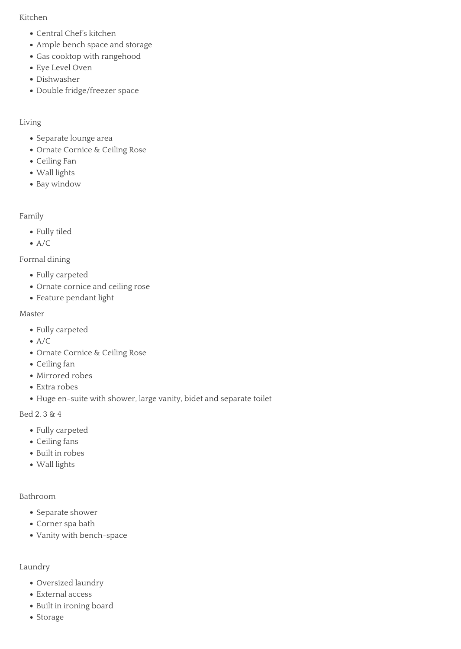#### Kitchen

- Central Chef's kitchen
- Ample bench space and storage
- Gas cooktop with rangehood
- Eye Level Oven
- Dishwasher
- Double fridge/freezer space

## Living

- Separate lounge area
- Ornate Cornice & Ceiling Rose
- Ceiling Fan
- Wall lights
- Bay window

Family

- Fully tiled
- $\bullet$  A/C

Formal dining

- Fully carpeted
- Ornate cornice and ceiling rose
- Feature pendant light

### Master

- Fully carpeted
- $\bullet$  A/C
- Ornate Cornice & Ceiling Rose
- Ceiling fan
- Mirrored robes
- Extra robes
- Huge en-suite with shower, large vanity, bidet and separate toilet

Bed 2, 3 & 4

- Fully carpeted
- Ceiling fans
- Built in robes
- Wall lights

### Bathroom

- Separate shower
- Corner spa bath
- Vanity with bench-space

### Laundry

- Oversized laundry
- External access
- Built in ironing board
- Storage